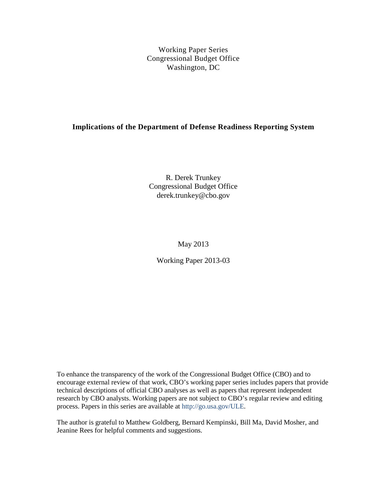Working Paper Series Congressional Budget Office Washington, DC

### **Implications of the Department of Defense Readiness Reporting System**

R. Derek Trunkey Congressional Budget Office derek.trunkey@cbo.gov

May 2013

Working Paper 2013-03

To enhance the transparency of the work of the Congressional Budget Office (CBO) and to encourage external review of that work, CBO's working paper series includes papers that provide technical descriptions of official CBO analyses as well as papers that represent independent research by CBO analysts. Working papers are not subject to CBO's regular review and editing process. Papers in this series are available at [http://go.usa.gov/ULE.](http://go.usa.gov/ULE)

The author is grateful to Matthew Goldberg, Bernard Kempinski, Bill Ma, David Mosher, and Jeanine Rees for helpful comments and suggestions.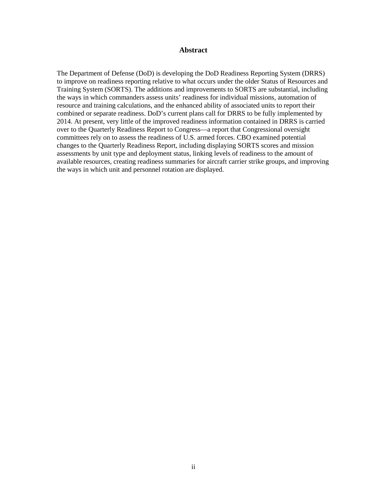#### **Abstract**

The Department of Defense (DoD) is developing the DoD Readiness Reporting System (DRRS) to improve on readiness reporting relative to what occurs under the older Status of Resources and Training System (SORTS). The additions and improvements to SORTS are substantial, including the ways in which commanders assess units' readiness for individual missions, automation of resource and training calculations, and the enhanced ability of associated units to report their combined or separate readiness. DoD's current plans call for DRRS to be fully implemented by 2014. At present, very little of the improved readiness information contained in DRRS is carried over to the Quarterly Readiness Report to Congress—a report that Congressional oversight committees rely on to assess the readiness of U.S. armed forces. CBO examined potential changes to the Quarterly Readiness Report, including displaying SORTS scores and mission assessments by unit type and deployment status, linking levels of readiness to the amount of available resources, creating readiness summaries for aircraft carrier strike groups, and improving the ways in which unit and personnel rotation are displayed.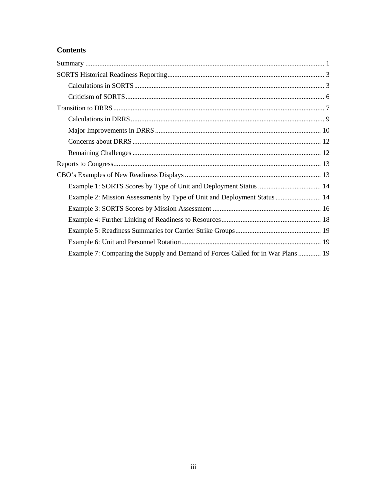## **Contents**

| Example 2: Mission Assessments by Type of Unit and Deployment Status  14        |
|---------------------------------------------------------------------------------|
|                                                                                 |
|                                                                                 |
|                                                                                 |
|                                                                                 |
| Example 7: Comparing the Supply and Demand of Forces Called for in War Plans 19 |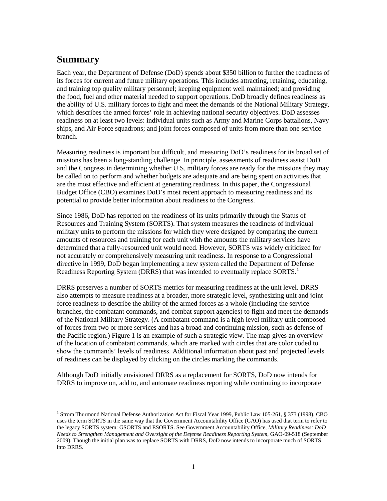# <span id="page-3-0"></span>**Summary**

 $\overline{a}$ 

Each year, the Department of Defense (DoD) spends about \$350 billion to further the readiness of its forces for current and future military operations. This includes attracting, retaining, educating, and training top quality military personnel; keeping equipment well maintained; and providing the food, fuel and other material needed to support operations. DoD broadly defines readiness as the ability of U.S. military forces to fight and meet the demands of the National Military Strategy, which describes the armed forces' role in achieving national security objectives. DoD assesses readiness on at least two levels: individual units such as Army and Marine Corps battalions, Navy ships, and Air Force squadrons; and joint forces composed of units from more than one service branch.

Measuring readiness is important but difficult, and measuring DoD's readiness for its broad set of missions has been a long-standing challenge. In principle, assessments of readiness assist DoD and the Congress in determining whether U.S. military forces are ready for the missions they may be called on to perform and whether budgets are adequate and are being spent on activities that are the most effective and efficient at generating readiness. In this paper, the Congressional Budget Office (CBO) examines DoD's most recent approach to measuring readiness and its potential to provide better information about readiness to the Congress.

Since 1986, DoD has reported on the readiness of its units primarily through the Status of Resources and Training System (SORTS). That system measures the readiness of individual military units to perform the missions for which they were designed by comparing the current amounts of resources and training for each unit with the amounts the military services have determined that a fully-resourced unit would need. However, SORTS was widely criticized for not accurately or comprehensively measuring unit readiness. In response to a Congressional directive in 1999, DoD began implementing a new system called the Department of Defense Readiness Reporting System (DRRS) that was intended to eventually replace SORTS.<sup>[1](#page-3-1)</sup>

DRRS preserves a number of SORTS metrics for measuring readiness at the unit level. DRRS also attempts to measure readiness at a broader, more strategic level, synthesizing unit and joint force readiness to describe the ability of the armed forces as a whole (including the service branches, the combatant commands, and combat support agencies) to fight and meet the demands of the National Military Strategy. (A combatant command is a high level military unit composed of forces from two or more services and has a broad and continuing mission, such as defense of the Pacific region.) [Figure 1](#page-4-0) is an example of such a strategic view. The map gives an overview of the location of combatant commands, which are marked with circles that are color coded to show the commands' levels of readiness. Additional information about past and projected levels of readiness can be displayed by clicking on the circles marking the commands.

Although DoD initially envisioned DRRS as a replacement for SORTS, DoD now intends for DRRS to improve on, add to, and automate readiness reporting while continuing to incorporate

<span id="page-3-1"></span><sup>1</sup> Strom Thurmond National Defense Authorization Act for Fiscal Year 1999, Public Law 105-261, § 373 (1998). CBO uses the term SORTS in the same way that the Government Accountability Office (GAO) has used that term to refer to the legacy SORTS system: GSORTS and ESORTS. See Government Accountability Office, *Military Readiness: DoD Needs to Strengthen Management and Oversight of the Defense Readiness Reporting System*, GAO-09-518 (September 2009). Though the initial plan was to replace SORTS with DRRS, DoD now intends to incorporate much of SORTS into DRRS.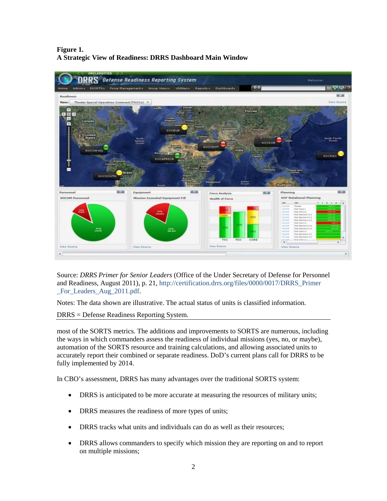### <span id="page-4-0"></span>**Figure 1. A Strategic View of Readiness: DRRS Dashboard Main Window**



Source: *DRRS Primer for Senior Leaders* (Office of the Under Secretary of Defense for Personnel and Readiness, August 2011), p. 21, [http://certification.drrs.org/files/0000/0017/DRRS\\_Primer](http://certification.drrs.org/files/0000/0017/DRRS_Primer_For_Leaders_Aug_2011.pdf) [\\_For\\_Leaders\\_Aug\\_2011.pdf.](http://certification.drrs.org/files/0000/0017/DRRS_Primer_For_Leaders_Aug_2011.pdf)

Notes: The data shown are illustrative. The actual status of units is classified information.

DRRS = Defense Readiness Reporting System.

most of the SORTS metrics. The additions and improvements to SORTS are numerous, including the ways in which commanders assess the readiness of individual missions (yes, no, or maybe), automation of the SORTS resource and training calculations, and allowing associated units to accurately report their combined or separate readiness. DoD's current plans call for DRRS to be fully implemented by 2014.

In CBO's assessment, DRRS has many advantages over the traditional SORTS system:

- DRRS is anticipated to be more accurate at measuring the resources of military units;
- DRRS measures the readiness of more types of units;
- DRRS tracks what units and individuals can do as well as their resources;
- DRRS allows commanders to specify which mission they are reporting on and to report on multiple missions;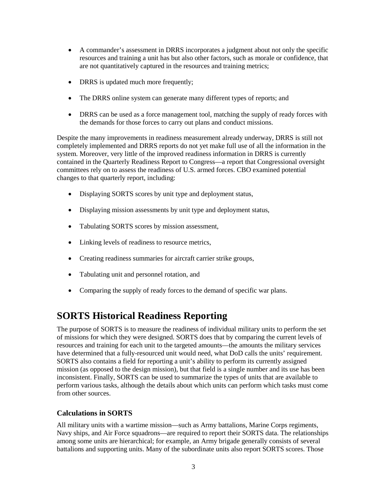- A commander's assessment in DRRS incorporates a judgment about not only the specific resources and training a unit has but also other factors, such as morale or confidence, that are not quantitatively captured in the resources and training metrics;
- DRRS is updated much more frequently;
- The DRRS online system can generate many different types of reports; and
- DRRS can be used as a force management tool, matching the supply of ready forces with the demands for those forces to carry out plans and conduct missions.

Despite the many improvements in readiness measurement already underway, DRRS is still not completely implemented and DRRS reports do not yet make full use of all the information in the system. Moreover, very little of the improved readiness information in DRRS is currently contained in the Quarterly Readiness Report to Congress—a report that Congressional oversight committees rely on to assess the readiness of U.S. armed forces. CBO examined potential changes to that quarterly report, including:

- Displaying SORTS scores by unit type and deployment status,
- Displaying mission assessments by unit type and deployment status,
- Tabulating SORTS scores by mission assessment,
- Linking levels of readiness to resource metrics,
- Creating readiness summaries for aircraft carrier strike groups,
- Tabulating unit and personnel rotation, and
- Comparing the supply of ready forces to the demand of specific war plans.

# <span id="page-5-0"></span>**SORTS Historical Readiness Reporting**

The purpose of SORTS is to measure the readiness of individual military units to perform the set of missions for which they were designed. SORTS does that by comparing the current levels of resources and training for each unit to the targeted amounts—the amounts the military services have determined that a fully-resourced unit would need, what DoD calls the units' requirement. SORTS also contains a field for reporting a unit's ability to perform its currently assigned mission (as opposed to the design mission), but that field is a single number and its use has been inconsistent. Finally, SORTS can be used to summarize the types of units that are available to perform various tasks, although the details about which units can perform which tasks must come from other sources.

### <span id="page-5-1"></span>**Calculations in SORTS**

All military units with a wartime mission—such as Army battalions, Marine Corps regiments, Navy ships, and Air Force squadrons—are required to report their SORTS data. The relationships among some units are hierarchical; for example, an Army brigade generally consists of several battalions and supporting units. Many of the subordinate units also report SORTS scores. Those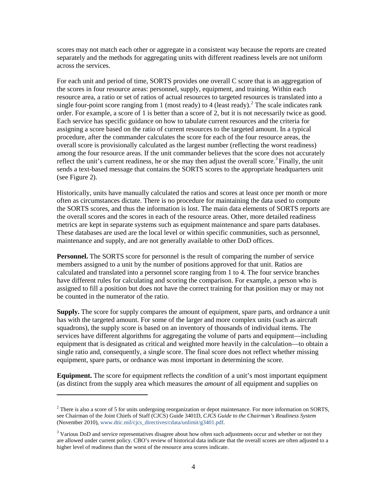scores may not match each other or aggregate in a consistent way because the reports are created separately and the methods for aggregating units with different readiness levels are not uniform across the services.

For each unit and period of time, SORTS provides one overall C score that is an aggregation of the scores in four resource areas: personnel, supply, equipment, and training. Within each resource area, a ratio or set of ratios of actual resources to targeted resources is translated into a single four-point score ranging from 1 (most ready) to 4 (least ready).<sup>[2](#page-6-1)</sup> The scale indicates rank order. For example, a score of 1 is better than a score of 2, but it is not necessarily twice as good. Each service has specific guidance on how to tabulate current resources and the criteria for assigning a score based on the ratio of current resources to the targeted amount. In a typical procedure, after the commander calculates the score for each of the four resource areas, the overall score is provisionally calculated as the largest number (reflecting the worst readiness) among the four resource areas. If the unit commander believes that the score does not accurately reflect the unit's current readiness, he or she may then adjust the overall score.<sup>[3](#page-6-2)</sup> Finally, the unit sends a text-based message that contains the SORTS scores to the appropriate headquarters unit (see [Figure 2\)](#page-6-0).

Historically, units have manually calculated the ratios and scores at least once per month or more often as circumstances dictate. There is no procedure for maintaining the data used to compute the SORTS scores, and thus the information is lost. The main data elements of SORTS reports are the overall scores and the scores in each of the resource areas. Other, more detailed readiness metrics are kept in separate systems such as equipment maintenance and spare parts databases. These databases are used are the local level or within specific communities, such as personnel, maintenance and supply, and are not generally available to other DoD offices.

**Personnel.** The SORTS score for personnel is the result of comparing the number of service members assigned to a unit by the number of positions approved for that unit. Ratios are calculated and translated into a personnel score ranging from 1 to 4. The four service branches have different rules for calculating and scoring the comparison. For example, a person who is assigned to fill a position but does not have the correct training for that position may or may not be counted in the numerator of the ratio.

**Supply.** The score for supply compares the amount of equipment, spare parts, and ordnance a unit has with the targeted amount. For some of the larger and more complex units (such as aircraft squadrons), the supply score is based on an inventory of thousands of individual items. The services have different algorithms for aggregating the volume of parts and equipment—including equipment that is designated as critical and weighted more heavily in the calculation—to obtain a single ratio and, consequently, a single score. The final score does not reflect whether missing equipment, spare parts, or ordnance was most important in determining the score.

<span id="page-6-0"></span>**Equipment.** The score for equipment reflects the *condition* of a unit's most important equipment (as distinct from the supply area which measures the *amount* of all equipment and supplies on

 $\overline{a}$ 

<span id="page-6-1"></span><sup>&</sup>lt;sup>2</sup> There is also a score of 5 for units undergoing reorganization or depot maintenance. For more information on SORTS, see Chairman of the Joint Chiefs of Staff (CJCS) Guide 3401D, *CJCS Guide to the Chairman's Readiness System* (November 2010)[, www.dtic.mil/cjcs\\_directives/cdata/unlimit/g3401.pdf.](http://www.dtic.mil/cjcs_directives/cdata/unlimit/g3401.pdf)

<span id="page-6-2"></span><sup>&</sup>lt;sup>3</sup> Various DoD and service representatives disagree about how often such adjustments occur and whether or not they are allowed under current policy. CBO's review of historical data indicate that the overall scores are often adjusted to a higher level of readiness than the worst of the resource area scores indicate.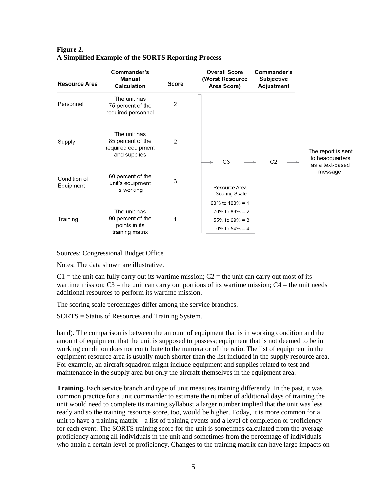| <b>Resource Area</b> | Commander's<br>Manual<br>Calculation                                    | Score | <b>Overall Score</b><br>(Worst Resource<br>Area Score) | Commander's<br>Subjective<br>Adjustment |                                       |
|----------------------|-------------------------------------------------------------------------|-------|--------------------------------------------------------|-----------------------------------------|---------------------------------------|
| Personnel            | The unit has<br>75 percent of the<br>required personnel                 | 2     |                                                        |                                         |                                       |
| Supply               | The unit has<br>85 percent of the<br>required equipment<br>and supplies | 2     |                                                        |                                         | The report is sent<br>to headquarters |
| Condition of         | 60 percent of the                                                       |       | C <sub>3</sub>                                         | C <sub>2</sub>                          | as a text-based<br>message            |
| Equipment            | unit's equipment<br>is working                                          | 3     | Resource Area<br>Scoring Scale                         |                                         |                                       |
|                      |                                                                         |       | $90\%$ to $100\% = 1$                                  |                                         |                                       |
|                      | The unit has                                                            |       | 70% to 89% = 2                                         |                                         |                                       |
| Training             | 90 percent of the<br>points in its                                      | 1     | 55% to 69% = 3                                         |                                         |                                       |
|                      | training matrix                                                         |       | 0% to $54\% = 4$                                       |                                         |                                       |

### **Figure 2. A Simplified Example of the SORTS Reporting Process**

Sources: Congressional Budget Office

Notes: The data shown are illustrative.

 $C_1$  = the unit can fully carry out its wartime mission;  $C_2$  = the unit can carry out most of its wartime mission;  $C3$  = the unit can carry out portions of its wartime mission;  $C4$  = the unit needs additional resources to perform its wartime mission.

The scoring scale percentages differ among the service branches.

SORTS = Status of Resources and Training System.

hand). The comparison is between the amount of equipment that is in working condition and the amount of equipment that the unit is supposed to possess; equipment that is not deemed to be in working condition does not contribute to the numerator of the ratio. The list of equipment in the equipment resource area is usually much shorter than the list included in the supply resource area. For example, an aircraft squadron might include equipment and supplies related to test and maintenance in the supply area but only the aircraft themselves in the equipment area.

**Training.** Each service branch and type of unit measures training differently. In the past, it was common practice for a unit commander to estimate the number of additional days of training the unit would need to complete its training syllabus; a larger number implied that the unit was less ready and so the training resource score, too, would be higher. Today, it is more common for a unit to have a training matrix—a list of training events and a level of completion or proficiency for each event. The SORTS training score for the unit is sometimes calculated from the average proficiency among all individuals in the unit and sometimes from the percentage of individuals who attain a certain level of proficiency. Changes to the training matrix can have large impacts on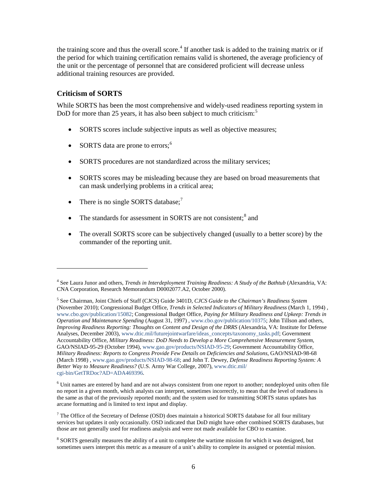the training score and thus the overall score.<sup>[4](#page-8-1)</sup> If another task is added to the training matrix or if the period for which training certification remains valid is shortened, the average proficiency of the unit or the percentage of personnel that are considered proficient will decrease unless additional training resources are provided.

### <span id="page-8-0"></span>**Criticism of SORTS**

 $\overline{a}$ 

While SORTS has been the most comprehensive and widely-used readiness reporting system in DoD for more than 2[5](#page-8-2) years, it has also been subject to much criticism:<sup>5</sup>

- SORTS scores include subjective inputs as well as objective measures;
- SORTS data are prone to errors;<sup>[6](#page-8-3)</sup>
- SORTS procedures are not standardized across the military services;
- SORTS scores may be misleading because they are based on broad measurements that can mask underlying problems in a critical area;
- There is no single SORTS database;<sup>[7](#page-8-4)</sup>
- The standards for assessment in SORTS are not consistent;<sup>[8](#page-8-5)</sup> and
- The overall SORTS score can be subjectively changed (usually to a better score) by the commander of the reporting unit.

<span id="page-8-1"></span><sup>&</sup>lt;sup>4</sup> See Laura Junor and others, *Trends in Interdeployment Training Readiness: A Study of the Bathtub (Alexandria, VA:* CNA Corporation, Research Memorandum D0002077.A2, October 2000).

<span id="page-8-2"></span><sup>5</sup> See Chairman, Joint Chiefs of Staff (CJCS) Guide 3401D, *CJCS Guide to the Chairman's Readiness System* (November 2010); Congressional Budget Office, *Trends in Selected Indicators of Military Readiness* (March 1, 1994) , www.cbo.gov/publication/15082; Congressional Budget Office, *Paying for Military Readiness and Upkeep: Trends in Operation and Maintenance Spending* (August 31, 1997) , www.cbo.gov/publication/10375; John Tillson and others, *Improving Readiness Reporting: Thoughts on Content and Design of the DRRS* (Alexandria, VA: Institute for Defense Analyses, December 2003)[, www.dtic.mil/futurejointwarfare/ideas\\_concepts/taxonomy\\_tasks.pdf;](http://www.dtic.mil/futurejointwarfare/ideas_concepts/taxonomy_tasks.pdf) Government Accountability Office, *Military Readiness: DoD Needs to Develop a More Comprehensive Measurement System*, GAO/NSIAD-95-29 (October 1994), www.gao.gov/products/NSIAD-95-29; Government Accountability Office, *Military Readiness: Reports to Congress Provide Few Details on Deficiencies and Solutions*, GAO/NSIAD-98-68 (March 1998) , www.gao.gov/products/NSIAD-98-68; and John T. Dewey, *Defense Readiness Reporting System: A Better Way to Measure Readiness?* (U.S. Army War College, 2007), [www.dtic.mil/](http://www.dtic.mil/cgi-bin/GetTRDoc?AD=ADA469396) [cgi-bin/GetTRDoc?AD=ADA469396.](http://www.dtic.mil/cgi-bin/GetTRDoc?AD=ADA469396)

<span id="page-8-3"></span><sup>6</sup> Unit names are entered by hand and are not always consistent from one report to another; nondeployed units often file no report in a given month, which analysts can interpret, sometimes incorrectly, to mean that the level of readiness is the same as that of the previously reported month; and the system used for transmitting SORTS status updates has arcane formatting and is limited to text input and display.

<span id="page-8-4"></span><sup>7</sup> The Office of the Secretary of Defense (OSD) does maintain a historical SORTS database for all four military services but updates it only occasionally. OSD indicated that DoD might have other combined SORTS databases, but those are not generally used for readiness analysis and were not made available for CBO to examine.

<span id="page-8-5"></span><sup>8</sup> SORTS generally measures the ability of a unit to complete the wartime mission for which it was designed, but sometimes users interpret this metric as a measure of a unit's ability to complete its assigned or potential mission.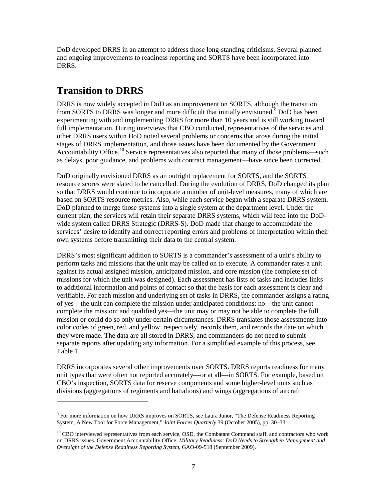DoD developed DRRS in an attempt to address those long-standing criticisms. Several planned and ongoing improvements to readiness reporting and SORTS have been incorporated into DRRS.

# <span id="page-9-0"></span>**Transition to DRRS**

 $\overline{a}$ 

DRRS is now widely accepted in DoD as an improvement on SORTS, although the transition from SORTS to DRRS was longer and more difficult that initially envisioned.<sup>[9](#page-9-2)</sup> DoD has been experimenting with and implementing DRRS for more than 10 years and is still working toward full implementation. During interviews that CBO conducted, representatives of the services and other DRRS users within DoD noted several problems or concerns that arose during the initial stages of DRRS implementation, and those issues have been documented by the Government Accountability Office.<sup>[10](#page-9-3)</sup> Service representatives also reported that many of those problems—such as delays, poor guidance, and problems with contract management—have since been corrected.

DoD originally envisioned DRRS as an outright replacement for SORTS, and the SORTS resource scores were slated to be cancelled. During the evolution of DRRS, DoD changed its plan so that DRRS would continue to incorporate a number of unit-level measures, many of which are based on SORTS resource metrics. Also, while each service began with a separate DRRS system, DoD planned to merge those systems into a single system at the department level. Under the current plan, the services will retain their separate DRRS systems, which will feed into the DoDwide system called DRRS Strategic (DRRS-S). DoD made that change to accommodate the services' desire to identify and correct reporting errors and problems of interpretation within their own systems before transmitting their data to the central system.

DRRS's most significant addition to SORTS is a commander's assessment of a unit's ability to perform tasks and missions that the unit may be called on to execute. A commander rates a unit against its actual assigned mission, anticipated mission, and core mission (the complete set of missions for which the unit was designed). Each assessment has lists of tasks and includes links to additional information and points of contact so that the basis for each assessment is clear and verifiable. For each mission and underlying set of tasks in DRRS, the commander assigns a rating of yes—the unit can complete the mission under anticipated conditions; no—the unit cannot complete the mission; and qualified yes—the unit may or may not be able to complete the full mission or could do so only under certain circumstances. DRRS translates those assessments into color codes of green, red, and yellow, respectively, records them, and records the date on which they were made. The data are all stored in DRRS, and commanders do not need to submit separate reports after updating any information. For a simplified example of this process, see [Table 1.](#page-9-1)

<span id="page-9-1"></span>DRRS incorporates several other improvements over SORTS. DRRS reports readiness for many unit types that were often not reported accurately—or at all—in SORTS. For example, based on CBO's inspection, SORTS data for reserve components and some higher-level units such as divisions (aggregations of regiments and battalions) and wings (aggregations of aircraft

<span id="page-9-2"></span><sup>9</sup> For more information on how DRRS improves on SORTS, see Laura Junor, "The Defense Readiness Reporting System, A New Tool for Force Management," *Joint Forces Quarterly* 39 (October 2005), pp. 30–33.

<span id="page-9-3"></span><sup>&</sup>lt;sup>10</sup> CBO interviewed representatives from each service, OSD, the Combatant Command staff, and contractors who work on DRRS issues. Government Accountability Office, *Military Readiness: DoD Needs to Strengthen Management and Oversight of the Defense Readiness Reporting System*, GAO-09-518 (September 2009).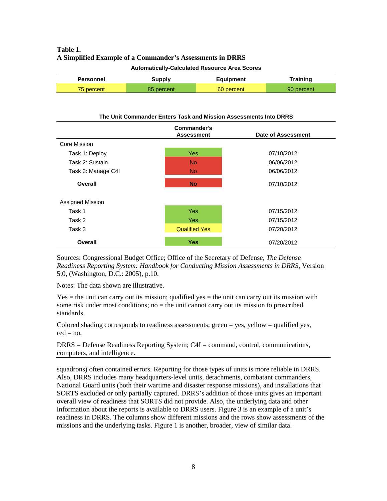### **Table 1. A Simplified Example of a Commander's Assessments in DRRS**

| <b>Automatically-Calculated Resource Area Scores</b> |  |
|------------------------------------------------------|--|
|------------------------------------------------------|--|

| Personnel  | <b>Equipment</b><br>Supply |            | Training   |  |
|------------|----------------------------|------------|------------|--|
| 75 percent | 85 percent                 | 60 percent | 90 percent |  |

#### **The Unit Commander Enters Task and Mission Assessments Into DRRS**

|                    | Commander's<br><b>Assessment</b> |            |  |
|--------------------|----------------------------------|------------|--|
| Core Mission       |                                  |            |  |
| Task 1: Deploy     | <b>Yes</b>                       | 07/10/2012 |  |
| Task 2: Sustain    | <b>No</b>                        | 06/06/2012 |  |
| Task 3: Manage C4I | <b>No</b>                        | 06/06/2012 |  |
| Overall            | <b>No</b>                        | 07/10/2012 |  |
| Assigned Mission   |                                  |            |  |
| Task 1             | <b>Yes</b>                       | 07/15/2012 |  |
| Task 2             | <b>Yes</b>                       | 07/15/2012 |  |
| Task 3             | <b>Qualified Yes</b>             | 07/20/2012 |  |
| <b>Overall</b>     | <b>Yes</b>                       | 07/20/2012 |  |

Sources: Congressional Budget Office; Office of the Secretary of Defense, *The Defense Readiness Reporting System: Handbook for Conducting Mission Assessments in DRRS*, Version 5.0, (Washington, D.C.: 2005), p.10.

Notes: The data shown are illustrative.

 $Yes =$  the unit can carry out its mission; qualified yes  $=$  the unit can carry out its mission with some risk under most conditions; no = the unit cannot carry out its mission to proscribed standards.

Colored shading corresponds to readiness assessments; green  $=$  yes, yellow  $=$  qualified yes,  $red = no$ .

DRRS = Defense Readiness Reporting System; C4I = command, control, communications, computers, and intelligence.

<span id="page-10-0"></span>squadrons) often contained errors. Reporting for those types of units is more reliable in DRRS. Also, DRRS includes many headquarters-level units, detachments, combatant commanders, National Guard units (both their wartime and disaster response missions), and installations that SORTS excluded or only partially captured. DRRS's addition of those units gives an important overall view of readiness that SORTS did not provide. Also, the underlying data and other information about the reports is available to DRRS users. [Figure 3](#page-10-0) is an example of a unit's readiness in DRRS. The columns show different missions and the rows show assessments of the missions and the underlying tasks. Figure 1 is another, broader, view of similar data.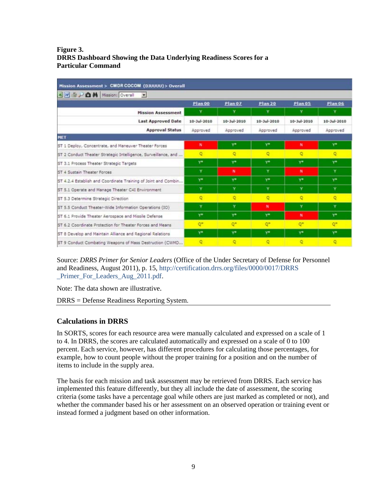### **Figure 3. DRRS Dashboard Showing the Data Underlying Readiness Scores for a Particular Command**

| Mission Assessment > CMDR COCOM (DJUUUU) > Overall<br>3 W 3 P 6 M Mission: Overall ■ |                   |                            |                            |                   |                   |  |  |  |
|--------------------------------------------------------------------------------------|-------------------|----------------------------|----------------------------|-------------------|-------------------|--|--|--|
|                                                                                      |                   |                            |                            |                   |                   |  |  |  |
| <b>Mission Assessment</b>                                                            | ×                 | Y                          | Y                          | Y                 | Y                 |  |  |  |
| <b>Last Approved Date</b>                                                            | $10 - 3ul - 2010$ | $10 - \frac{1}{2}$ ul-2010 | $10 - \frac{1}{10} - 2010$ | $10 - 3ul - 2010$ | $10 - 3ul - 2010$ |  |  |  |
| <b>Approval Status</b>                                                               | Approved          | Approved                   | Approved                   | Approved          | Approved          |  |  |  |
| <b>MET</b>                                                                           |                   |                            |                            |                   |                   |  |  |  |
| ST 1 Deploy, Concentrate, and Maneuver Theater Forces                                | $\mathbf{N}$      | y*                         | Y*                         | N                 | γ×                |  |  |  |
| ST 2 Conduct Theater Strategic Intelligence, Surveillance, and                       | ۰                 | o                          | O                          | ۰                 | ۰                 |  |  |  |
| ST 3.1 Process Theater Strategic Targets                                             | $Y^*$             | ys                         | <b>Y</b> *                 | $Y^*$             | y*                |  |  |  |
| ST 4 Sustain Theater Forces                                                          | Y                 | $\mathbf{N}$               | ×                          | $\mathbf{N}$      | Y                 |  |  |  |
| ST 4.2.4 Establish and Coordinate Training of Joint and Combin                       | $Y^*$             | y*                         | <b>Y*</b>                  | $Y^*$             | y*                |  |  |  |
| ST 5.1 Operate and Manage Theater C4I Environment                                    | Y                 | Y                          | Y                          | Ÿ                 | Ÿ                 |  |  |  |
| ST 5.3 Determine Strategic Direction                                                 | $\circ$           | o                          | o                          | $\circ$           | $\circ$           |  |  |  |
| ST 5.5 Conduct Theater-Wide Information Operations (IO)                              | Y                 | ¥                          | N                          | Y                 | ×                 |  |  |  |
| ST 6.1 Provide Theater Aerospace and Missile Defense                                 | $Y^*$             | <b>Y*</b>                  | $Y^*$                      | N                 | $Y^*$             |  |  |  |
| ST 6.2 Coordinate Protection for Theater Forces and Means                            | O <sup>2</sup>    | O <sup>*</sup>             | O <sup>m</sup>             | o*                | O <sup>*</sup>    |  |  |  |
| ST 8 Develop and Maintain Alliance and Regional Relations                            | $Y^*$             | y*                         | Y                          | <b>Y*</b>         | <b>Y*</b>         |  |  |  |
| ST 9 Conduct Combating Weapons of Mass Destruction (CWMD                             | ۰                 | ۰                          | Q                          | $\circ$           | $\circ$           |  |  |  |

Source: *DRRS Primer for Senior Leaders* (Office of the Under Secretary of Defense for Personnel and Readiness, August 2011), p. 15, [http://certification.drrs.org/files/0000/0017/DRRS](http://certification.drrs.org/files/0000/0017/DRRS_Primer_For_Leaders_Aug_2011.pdf) [\\_Primer\\_For\\_Leaders\\_Aug\\_2011.pdf.](http://certification.drrs.org/files/0000/0017/DRRS_Primer_For_Leaders_Aug_2011.pdf)

Note: The data shown are illustrative.

DRRS = Defense Readiness Reporting System.

### <span id="page-11-0"></span>**Calculations in DRRS**

In SORTS, scores for each resource area were manually calculated and expressed on a scale of 1 to 4. In DRRS, the scores are calculated automatically and expressed on a scale of 0 to 100 percent. Each service, however, has different procedures for calculating those percentages, for example, how to count people without the proper training for a position and on the number of items to include in the supply area.

The basis for each mission and task assessment may be retrieved from DRRS. Each service has implemented this feature differently, but they all include the date of assessment, the scoring criteria (some tasks have a percentage goal while others are just marked as completed or not), and whether the commander based his or her assessment on an observed operation or training event or instead formed a judgment based on other information.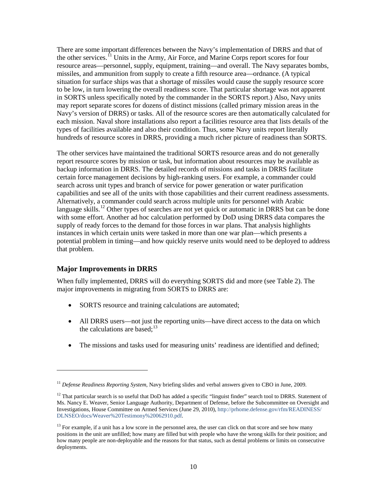There are some important differences between the Navy's implementation of DRRS and that of the other services.<sup> $\hat{1}$ </sup> Units in the Army, Air Force, and Marine Corps report scores for four resource areas—personnel, supply, equipment, training—and overall. The Navy separates bombs, missiles, and ammunition from supply to create a fifth resource area—ordnance. (A typical situation for surface ships was that a shortage of missiles would cause the supply resource score to be low, in turn lowering the overall readiness score. That particular shortage was not apparent in SORTS unless specifically noted by the commander in the SORTS report.) Also, Navy units may report separate scores for dozens of distinct missions (called primary mission areas in the Navy's version of DRRS) or tasks. All of the resource scores are then automatically calculated for each mission. Naval shore installations also report a facilities resource area that lists details of the types of facilities available and also their condition. Thus, some Navy units report literally hundreds of resource scores in DRRS, providing a much richer picture of readiness than SORTS.

The other services have maintained the traditional SORTS resource areas and do not generally report resource scores by mission or task, but information about resources may be available as backup information in DRRS. The detailed records of missions and tasks in DRRS facilitate certain force management decisions by high-ranking users. For example, a commander could search across unit types and branch of service for power generation or water purification capabilities and see all of the units with those capabilities and their current readiness assessments. Alternatively, a commander could search across multiple units for personnel with Arabic language skills.<sup>[12](#page-12-2)</sup> Other types of searches are not yet quick or automatic in DRRS but can be done with some effort. Another ad hoc calculation performed by DoD using DRRS data compares the supply of ready forces to the demand for those forces in war plans. That analysis highlights instances in which certain units were tasked in more than one war plan—which presents a potential problem in timing—and how quickly reserve units would need to be deployed to address that problem.

### <span id="page-12-0"></span>**Major Improvements in DRRS**

 $\overline{a}$ 

When fully implemented, DRRS will do everything SORTS did and more (see [Table 2\)](#page-13-0). The major improvements in migrating from SORTS to DRRS are:

- SORTS resource and training calculations are automated;
- All DRRS users—not just the reporting units—have direct access to the data on which the calculations are based;<sup>[13](#page-12-3)</sup>
- The missions and tasks used for measuring units' readiness are identified and defined;

<span id="page-12-1"></span><sup>11</sup> *Defense Readiness Reporting System*, Navy briefing slides and verbal answers given to CBO in June, 2009.

<span id="page-12-2"></span> $12$  That particular search is so useful that DoD has added a specific "linguist finder" search tool to DRRS. Statement of Ms. Nancy E. Weaver, Senior Language Authority, Department of Defense, before the Subcommittee on Oversight and Investigations, House Committee on Armed Services (June 29, 2010)[, http://prhome.defense.gov/rfm/READINESS/](http://prhome.defense.gov/rfm/READINESS/DLNSEO/docs/Weaver%20Testimony%20062910.pdf) [DLNSEO/docs/Weaver%20Testimony%20062910.pdf.](http://prhome.defense.gov/rfm/READINESS/DLNSEO/docs/Weaver%20Testimony%20062910.pdf)

<span id="page-12-3"></span> $<sup>13</sup>$  For example, if a unit has a low score in the personnel area, the user can click on that score and see how many</sup> positions in the unit are unfilled; how many are filled but with people who have the wrong skills for their position; and how many people are non-deployable and the reasons for that status, such as dental problems or limits on consecutive deployments.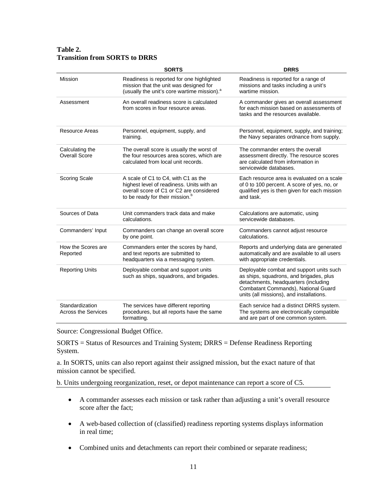### <span id="page-13-0"></span>**Table 2. Transition from SORTS to DRRS**

|                                               | <b>SORTS</b>                                                                                                                                                                | <b>DRRS</b>                                                                                                                                                                                                    |
|-----------------------------------------------|-----------------------------------------------------------------------------------------------------------------------------------------------------------------------------|----------------------------------------------------------------------------------------------------------------------------------------------------------------------------------------------------------------|
| Mission                                       | Readiness is reported for one highlighted<br>mission that the unit was designed for<br>(usually the unit's core wartime mission). <sup>a</sup>                              | Readiness is reported for a range of<br>missions and tasks including a unit's<br>wartime mission.                                                                                                              |
| Assessment                                    | An overall readiness score is calculated<br>from scores in four resource areas.                                                                                             | A commander gives an overall assessment<br>for each mission based on assessments of<br>tasks and the resources available.                                                                                      |
| <b>Resource Areas</b>                         | Personnel, equipment, supply, and<br>training.                                                                                                                              | Personnel, equipment, supply, and training;<br>the Navy separates ordnance from supply.                                                                                                                        |
| Calculating the<br>Overall Score              | The overall score is usually the worst of<br>the four resources area scores, which are<br>calculated from local unit records.                                               | The commander enters the overall<br>assessment directly. The resource scores<br>are calculated from information in<br>servicewide databases.                                                                   |
| <b>Scoring Scale</b>                          | A scale of C1 to C4, with C1 as the<br>highest level of readiness. Units with an<br>overall score of C1 or C2 are considered<br>to be ready for their mission. <sup>b</sup> | Each resource area is evaluated on a scale<br>of 0 to 100 percent. A score of yes, no, or<br>qualified yes is then given for each mission<br>and task.                                                         |
| Sources of Data                               | Unit commanders track data and make<br>calculations.                                                                                                                        | Calculations are automatic, using<br>servicewide databases.                                                                                                                                                    |
| Commanders' Input                             | Commanders can change an overall score<br>by one point.                                                                                                                     | Commanders cannot adjust resource<br>calculations.                                                                                                                                                             |
| How the Scores are<br>Reported                | Commanders enter the scores by hand,<br>and text reports are submitted to<br>headquarters via a messaging system.                                                           | Reports and underlying data are generated<br>automatically and are available to all users<br>with appropriate credentials.                                                                                     |
| <b>Reporting Units</b>                        | Deployable combat and support units<br>such as ships, squadrons, and brigades.                                                                                              | Deployable combat and support units such<br>as ships, squadrons, and brigades, plus<br>detachments, headquarters (including<br>Combatant Commands), National Guard<br>units (all missions), and installations. |
| Standardization<br><b>Across the Services</b> | The services have different reporting<br>procedures, but all reports have the same<br>formatting.                                                                           | Each service had a distinct DRRS system.<br>The systems are electronically compatible<br>and are part of one common system.                                                                                    |

Source: Congressional Budget Office.

SORTS = Status of Resources and Training System; DRRS = Defense Readiness Reporting System.

a. In SORTS, units can also report against their assigned mission, but the exact nature of that mission cannot be specified.

b. Units undergoing reorganization, reset, or depot maintenance can report a score of C5.

- A commander assesses each mission or task rather than adjusting a unit's overall resource score after the fact;
- A web-based collection of (classified) readiness reporting systems displays information in real time;
- Combined units and detachments can report their combined or separate readiness;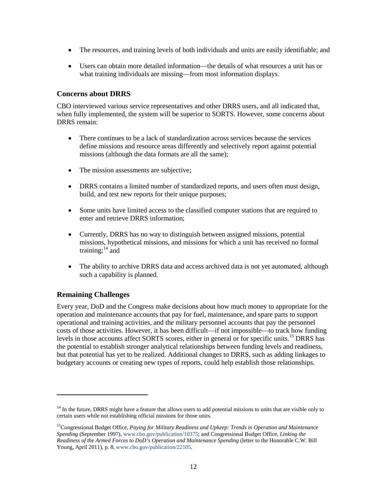- The resources, and training levels of both individuals and units are easily identifiable; and
- Users can obtain more detailed information—the details of what resources a unit has or what training individuals are missing—from most information displays.

### <span id="page-14-0"></span>**Concerns about DRRS**

CBO interviewed various service representatives and other DRRS users, and all indicated that, when fully implemented, the system will be superior to SORTS. However, some concerns about DRRS remain:

- There continues to be a lack of standardization across services because the services define missions and resource areas differently and selectively report against potential missions (although the data formats are all the same);
- The mission assessments are subjective;
- DRRS contains a limited number of standardized reports, and users often must design, build, and test new reports for their unique purposes;
- Some units have limited access to the classified computer stations that are required to enter and retrieve DRRS information;
- Currently, DRRS has no way to distinguish between assigned missions, potential missions, hypothetical missions, and missions for which a unit has received no formal training; $^{14}$  $^{14}$  $^{14}$  and
- The ability to archive DRRS data and access archived data is not yet automated, although such a capability is planned.

### <span id="page-14-1"></span>**Remaining Challenges**

 $\overline{a}$ 

Every year, DoD and the Congress make decisions about how much money to appropriate for the operation and maintenance accounts that pay for fuel, maintenance, and spare parts to support operational and training activities, and the military personnel accounts that pay the personnel costs of those activities. However, it has been difficult—if not impossible—to track how funding levels in those accounts affect SORTS scores, either in general or for specific units.<sup>[15](#page-14-3)</sup> DRRS has the potential to establish stronger analytical relationships between funding levels and readiness, but that potential has yet to be realized. Additional changes to DRRS, such as adding linkages to budgetary accounts or creating new types of reports, could help establish those relationships.

<span id="page-14-2"></span><sup>&</sup>lt;sup>14</sup> In the future, DRRS might have a feature that allows users to add potential missions to units that are visible only to certain users while not establishing official missions for those units.

<span id="page-14-3"></span><sup>15</sup>Congressional Budget Office, *Paying for Military Readiness and Upkeep: Trends in Operation and Maintenance Spending* (September 1997), www.cbo.gov/publication/10375; and Congressional Budget Office, *Linking the Readiness of the Armed Forces to DoD's Operation and Maintenance Spending* (letter to the Honorable C.W. Bill Young, April 2011), p. 8, www.cbo.gov/publication/22105.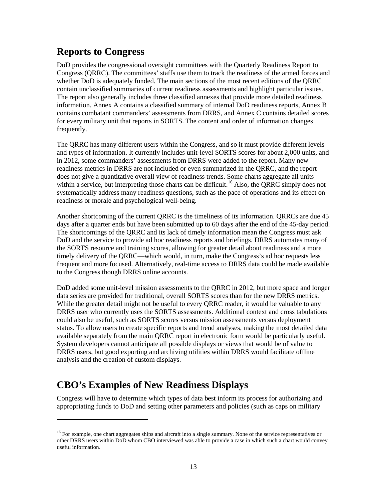# <span id="page-15-0"></span>**Reports to Congress**

DoD provides the congressional oversight committees with the Quarterly Readiness Report to Congress (QRRC). The committees' staffs use them to track the readiness of the armed forces and whether DoD is adequately funded. The main sections of the most recent editions of the QRRC contain unclassified summaries of current readiness assessments and highlight particular issues. The report also generally includes three classified annexes that provide more detailed readiness information. Annex A contains a classified summary of internal DoD readiness reports, Annex B contains combatant commanders' assessments from DRRS, and Annex C contains detailed scores for every military unit that reports in SORTS. The content and order of information changes frequently.

The QRRC has many different users within the Congress, and so it must provide different levels and types of information. It currently includes unit-level SORTS scores for about 2,000 units, and in 2012, some commanders' assessments from DRRS were added to the report. Many new readiness metrics in DRRS are not included or even summarized in the QRRC, and the report does not give a quantitative overall view of readiness trends. Some charts aggregate all units within a service, but interpreting those charts can be difficult.<sup>[16](#page-15-2)</sup> Also, the QRRC simply does not systematically address many readiness questions, such as the pace of operations and its effect on readiness or morale and psychological well-being.

Another shortcoming of the current QRRC is the timeliness of its information. QRRCs are due 45 days after a quarter ends but have been submitted up to 60 days after the end of the 45-day period. The shortcomings of the QRRC and its lack of timely information mean the Congress must ask DoD and the service to provide ad hoc readiness reports and briefings. DRRS automates many of the SORTS resource and training scores, allowing for greater detail about readiness and a more timely delivery of the QRRC—which would, in turn, make the Congress's ad hoc requests less frequent and more focused. Alternatively, real-time access to DRRS data could be made available to the Congress though DRRS online accounts.

DoD added some unit-level mission assessments to the QRRC in 2012, but more space and longer data series are provided for traditional, overall SORTS scores than for the new DRRS metrics. While the greater detail might not be useful to every QRRC reader, it would be valuable to any DRRS user who currently uses the SORTS assessments. Additional context and cross tabulations could also be useful, such as SORTS scores versus mission assessments versus deployment status. To allow users to create specific reports and trend analyses, making the most detailed data available separately from the main QRRC report in electronic form would be particularly useful. System developers cannot anticipate all possible displays or views that would be of value to DRRS users, but good exporting and archiving utilities within DRRS would facilitate offline analysis and the creation of custom displays.

# <span id="page-15-1"></span>**CBO's Examples of New Readiness Displays**

 $\overline{a}$ 

Congress will have to determine which types of data best inform its process for authorizing and appropriating funds to DoD and setting other parameters and policies (such as caps on military

<span id="page-15-2"></span><sup>&</sup>lt;sup>16</sup> For example, one chart aggregates ships and aircraft into a single summary. None of the service representatives or other DRRS users within DoD whom CBO interviewed was able to provide a case in which such a chart would convey useful information.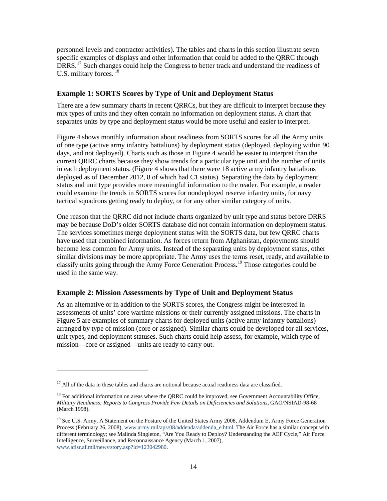personnel levels and contractor activities). The tables and charts in this section illustrate seven specific examples of displays and other information that could be added to the QRRC through DRRS.<sup>[17](#page-16-2)</sup> Such changes could help the Congress to better track and understand the readiness of U.S. military forces.<sup>[18](#page-16-3)</sup>

### <span id="page-16-0"></span>**Example 1: SORTS Scores by Type of Unit and Deployment Status**

There are a few summary charts in recent QRRCs, but they are difficult to interpret because they mix types of units and they often contain no information on deployment status. A chart that separates units by type and deployment status would be more useful and easier to interpret.

[Figure 4](#page-17-0) shows monthly information about readiness from SORTS scores for all the Army units of one type (active army infantry battalions) by deployment status (deployed, deploying within 90 days, and not deployed). Charts such as those in Figure 4 would be easier to interpret than the current QRRC charts because they show trends for a particular type unit and the number of units in each deployment status. (Figure 4 shows that there were 18 active army infantry battalions deployed as of December 2012, 8 of which had C1 status). Separating the data by deployment status and unit type provides more meaningful information to the reader. For example, a reader could examine the trends in SORTS scores for nondeployed reserve infantry units, for navy tactical squadrons getting ready to deploy, or for any other similar category of units.

One reason that the QRRC did not include charts organized by unit type and status before DRRS may be because DoD's older SORTS database did not contain information on deployment status. The services sometimes merge deployment status with the SORTS data, but few QRRC charts have used that combined information. As forces return from Afghanistan, deployments should become less common for Army units. Instead of the separating units by deployment status, other similar divisions may be more appropriate. The Army uses the terms reset, ready, and available to classify units going through the Army Force Generation Process. [19](#page-16-4) Those categories could be used in the same way.

### <span id="page-16-1"></span>**Example 2: Mission Assessments by Type of Unit and Deployment Status**

As an alternative or in addition to the SORTS scores, the Congress might be interested in assessments of units' core wartime missions or their currently assigned missions. The charts in [Figure 5](#page-18-1) are examples of summary charts for deployed units (active army infantry battalions) arranged by type of mission (core or assigned). Similar charts could be developed for all services, unit types, and deployment statuses. Such charts could help assess, for example, which type of mission—core or assigned—units are ready to carry out.

 $\overline{a}$ 

<span id="page-16-2"></span> $17$  All of the data in these tables and charts are notional because actual readiness data are classified.

<span id="page-16-3"></span><sup>&</sup>lt;sup>18</sup> For additional information on areas where the QRRC could be improved, see Government Accountability Office, *Military Readiness: Reports to Congress Provide Few Details on Deficiencies and Solutions*, GAO/NSIAD-98-68 (March 1998).

<span id="page-16-4"></span><sup>&</sup>lt;sup>19</sup> See U.S. Army, A Statement on the Posture of the United States Army 2008, Addendum E, Army Force Generation Process (February 26, 2008)[, www.army.mil/aps/08/addenda/addenda\\_e.html.](http://www.army.mil/aps/08/addenda/addenda_e.html) The Air Force has a similar concept with different terminology; see Malinda Singleton, "Are You Ready to Deploy? Understanding the AEF Cycle," Air Force Intelligence, Surveillance, and Reconnaissance Agency (March 1, 2007), [www.afisr.af.mil/news/story.asp?id=123042980.](http://www.afisr.af.mil/news/story.asp?id=123042980)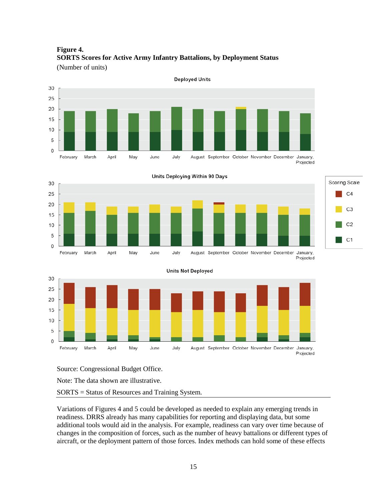<span id="page-17-0"></span>**Figure 4. SORTS Scores for Active Army Infantry Battalions, by Deployment Status** (Number of units)









Source: Congressional Budget Office.

Note: The data shown are illustrative.

SORTS = Status of Resources and Training System.

Variations of Figures 4 and 5 could be developed as needed to explain any emerging trends in readiness. DRRS already has many capabilities for reporting and displaying data, but some additional tools would aid in the analysis. For example, readiness can vary over time because of changes in the composition of forces, such as the number of heavy battalions or different types of aircraft, or the deployment pattern of those forces. Index methods can hold some of these effects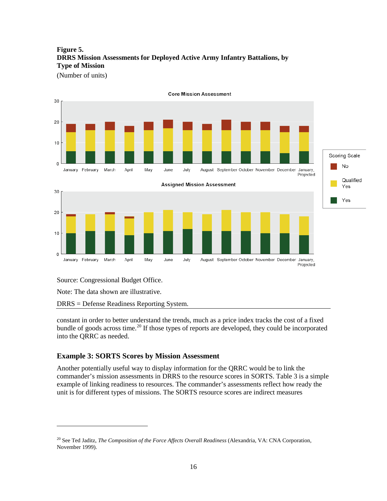### <span id="page-18-1"></span>**Figure 5. DRRS Mission Assessments for Deployed Active Army Infantry Battalions, by Type of Mission**

(Number of units)



Projected

**Core Mission Assessment** 

 $10$  $\circ$ January February March April May June July August September October November December January,

Source: Congressional Budget Office.

Note: The data shown are illustrative.

 $\overline{a}$ 

20

DRRS = Defense Readiness Reporting System.

constant in order to better understand the trends, much as a price index tracks the cost of a fixed bundle of goods across time.<sup>[20](#page-18-2)</sup> If those types of reports are developed, they could be incorporated into the QRRC as needed.

### <span id="page-18-0"></span>**Example 3: SORTS Scores by Mission Assessment**

Another potentially useful way to display information for the QRRC would be to link the commander's mission assessments in DRRS to the resource scores in SORTS. [Table](#page-19-0) 3 is a simple example of linking readiness to resources. The commander's assessments reflect how ready the unit is for different types of missions. The SORTS resource scores are indirect measures

<span id="page-18-2"></span><sup>20</sup> See Ted Jaditz, *The Composition of the Force Affects Overall Readiness* (Alexandria, VA: CNA Corporation, November 1999).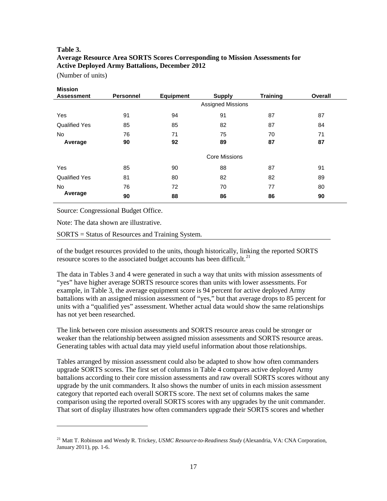### <span id="page-19-0"></span>**Table 3. Average Resource Area SORTS Scores Corresponding to Mission Assessments for Active Deployed Army Battalions, December 2012**

(Number of units)

| <b>Mission</b>       |                  |                                   |                          |                 |         |
|----------------------|------------------|-----------------------------------|--------------------------|-----------------|---------|
| <b>Assessment</b>    | <b>Personnel</b> | <b>Equipment</b><br><b>Supply</b> |                          | <b>Training</b> | Overall |
|                      |                  |                                   | <b>Assigned Missions</b> |                 |         |
| Yes                  | 91               | 94                                | 91                       | 87              | 87      |
| <b>Qualified Yes</b> | 85               | 85                                | 82                       | 87              | 84      |
| No.                  | 76               | 71                                | 75                       | 70              | 71      |
| Average              | 90               | 92                                | 89                       | 87              | 87      |
|                      |                  |                                   | <b>Core Missions</b>     |                 |         |
| Yes                  | 85               | 90                                | 88                       | 87              | 91      |
| <b>Qualified Yes</b> | 81               | 80                                | 82                       | 82              | 89      |
| No.                  | 76               | 72                                | 70                       | 77              | 80      |
| Average              | 90               | 88                                | 86                       | 86              | 90      |

Source: Congressional Budget Office.

Note: The data shown are illustrative.

 $\overline{a}$ 

SORTS = Status of Resources and Training System.

of the budget resources provided to the units, though historically, linking the reported SORTS resource scores to the associated budget accounts has been difficult.<sup>[21](#page-19-1)</sup>

The data in [Tables 3](#page-19-0) and [4](#page-20-1) were generated in such a way that units with mission assessments of "yes" have higher average SORTS resource scores than units with lower assessments. For example, in Table 3, the average equipment score is 94 percent for active deployed Army battalions with an assigned mission assessment of "yes," but that average drops to 85 percent for units with a "qualified yes" assessment. Whether actual data would show the same relationships has not yet been researched.

The link between core mission assessments and SORTS resource areas could be stronger or weaker than the relationship between assigned mission assessments and SORTS resource areas. Generating tables with actual data may yield useful information about those relationships.

Tables arranged by mission assessment could also be adapted to show how often commanders upgrade SORTS scores. The first set of columns i[n Table 4](#page-20-1) compares active deployed Army battalions according to their core mission assessments and raw overall SORTS scores without any upgrade by the unit commanders. It also shows the number of units in each mission assessment category that reported each overall SORTS score. The next set of columns makes the same comparison using the reported overall SORTS scores with any upgrades by the unit commander. That sort of display illustrates how often commanders upgrade their SORTS scores and whether

<span id="page-19-1"></span><sup>21</sup> Matt T. Robinson and Wendy R. Trickey, *USMC Resource-to-Readiness Study* (Alexandria, VA: CNA Corporation, January 2011), pp. 1-6.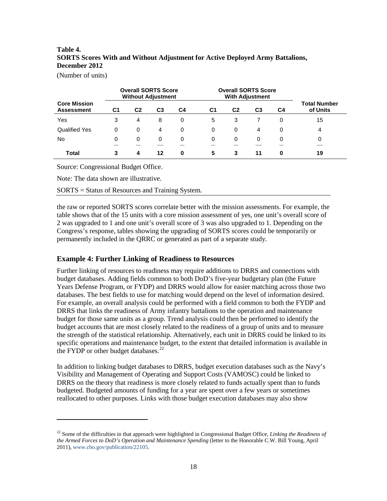### <span id="page-20-1"></span>**Table 4. SORTS Scores With and Without Adjustment for Active Deployed Army Battalions, December 2012**

(Number of units)

 $\overline{a}$ 

|                                          |                | <b>Overall SORTS Score</b><br><b>Without Adjustment</b> |    |    | <b>Overall SORTS Score</b><br><b>With Adjustment</b> |                |                |          |                                 |
|------------------------------------------|----------------|---------------------------------------------------------|----|----|------------------------------------------------------|----------------|----------------|----------|---------------------------------|
| <b>Core Mission</b><br><b>Assessment</b> | C <sub>1</sub> | C <sub>2</sub>                                          | C3 | C4 | C <sub>1</sub>                                       | C <sub>2</sub> | C <sub>3</sub> | C4       | <b>Total Number</b><br>of Units |
| Yes                                      | 3              | 4                                                       | 8  | 0  | 5                                                    | 3              |                | 0        | 15                              |
| <b>Qualified Yes</b>                     | 0              | 0                                                       | 4  | 0  | 0                                                    | 0              | 4              | 0        | 4                               |
| No                                       | 0              | 0                                                       | 0  | 0  | 0                                                    | 0              | 0              | 0        | 0                               |
| Total                                    | 3              | 4                                                       | 12 | 0  | 5                                                    | 3              | 11             | $\bf{0}$ | 19                              |

Source: Congressional Budget Office.

Note: The data shown are illustrative.

SORTS = Status of Resources and Training System.

the raw or reported SORTS scores correlate better with the mission assessments. For example, the table shows that of the 15 units with a core mission assessment of yes, one unit's overall score of 2 was upgraded to 1 and one unit's overall score of 3 was also upgraded to 1. Depending on the Congress's response, tables showing the upgrading of SORTS scores could be temporarily or permanently included in the QRRC or generated as part of a separate study.

### <span id="page-20-0"></span>**Example 4: Further Linking of Readiness to Resources**

Further linking of resources to readiness may require additions to DRRS and connections with budget databases. Adding fields common to both DoD's five-year budgetary plan (the Future Years Defense Program, or FYDP) and DRRS would allow for easier matching across those two databases. The best fields to use for matching would depend on the level of information desired. For example, an overall analysis could be performed with a field common to both the FYDP and DRRS that links the readiness of Army infantry battalions to the operation and maintenance budget for those same units as a group. Trend analysis could then be performed to identify the budget accounts that are most closely related to the readiness of a group of units and to measure the strength of the statistical relationship. Alternatively, each unit in DRRS could be linked to its specific operations and maintenance budget, to the extent that detailed information is available in the FYDP or other budget databases.<sup>[22](#page-20-2)</sup>

In addition to linking budget databases to DRRS, budget execution databases such as the Navy's Visibility and Management of Operating and Support Costs (VAMOSC) could be linked to DRRS on the theory that readiness is more closely related to funds actually spent than to funds budgeted. Budgeted amounts of funding for a year are spent over a few years or sometimes reallocated to other purposes. Links with those budget execution databases may also show

<span id="page-20-2"></span><sup>22</sup> Some of the difficulties in that approach were highlighted in Congressional Budget Office, *Linking the Readiness of the Armed Forces to DoD's Operation and Maintenance Spending* (letter to the Honorable C.W. Bill Young, April 2011), www.cbo.gov/publication/22105.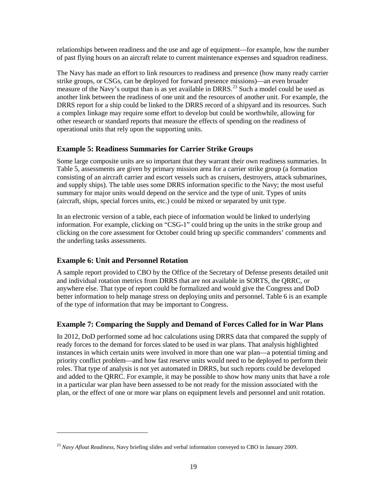relationships between readiness and the use and age of equipment—for example, how the number of past flying hours on an aircraft relate to current maintenance expenses and squadron readiness.

The Navy has made an effort to link resources to readiness and presence (how many ready carrier strike groups, or CSGs, can be deployed for forward presence missions)—an even broader measure of the Navy's output than is as yet available in DRRS.<sup>[23](#page-21-3)</sup> Such a model could be used as another link between the readiness of one unit and the resources of another unit. For example, the DRRS report for a ship could be linked to the DRRS record of a shipyard and its resources. Such a complex linkage may require some effort to develop but could be worthwhile, allowing for other research or standard reports that measure the effects of spending on the readiness of operational units that rely upon the supporting units.

### <span id="page-21-0"></span>**Example 5: Readiness Summaries for Carrier Strike Groups**

Some large composite units are so important that they warrant their own readiness summaries. In [Table 5,](#page-22-0) assessments are given by primary mission area for a carrier strike group (a formation consisting of an aircraft carrier and escort vessels such as cruisers, destroyers, attack submarines, and supply ships). The table uses some DRRS information specific to the Navy; the most useful summary for major units would depend on the service and the type of unit. Types of units (aircraft, ships, special forces units, etc.) could be mixed or separated by unit type.

In an electronic version of a table, each piece of information would be linked to underlying information. For example, clicking on "CSG-1" could bring up the units in the strike group and clicking on the core assessment for October could bring up specific commanders' comments and the underling tasks assessments.

### <span id="page-21-1"></span>**Example 6: Unit and Personnel Rotation**

 $\overline{a}$ 

A sample report provided to CBO by the Office of the Secretary of Defense presents detailed unit and individual rotation metrics from DRRS that are not available in SORTS, the QRRC, or anywhere else. That type of report could be formalized and would give the Congress and DoD better information to help manage stress on deploying units and personnel. [Table 6](#page-22-1) is an example of the type of information that may be important to Congress.

### <span id="page-21-2"></span>**Example 7: Comparing the Supply and Demand of Forces Called for in War Plans**

In 2012, DoD performed some ad hoc calculations using DRRS data that compared the supply of ready forces to the demand for forces slated to be used in war plans. That analysis highlighted instances in which certain units were involved in more than one war plan—a potential timing and priority conflict problem—and how fast reserve units would need to be deployed to perform their roles. That type of analysis is not yet automated in DRRS, but such reports could be developed and added to the QRRC. For example, it may be possible to show how many units that have a role in a particular war plan have been assessed to be not ready for the mission associated with the plan, or the effect of one or more war plans on equipment levels and personnel and unit rotation.

<span id="page-21-3"></span><sup>23</sup> *Navy Afloat Readiness*, Navy briefing slides and verbal information conveyed to CBO in January 2009.